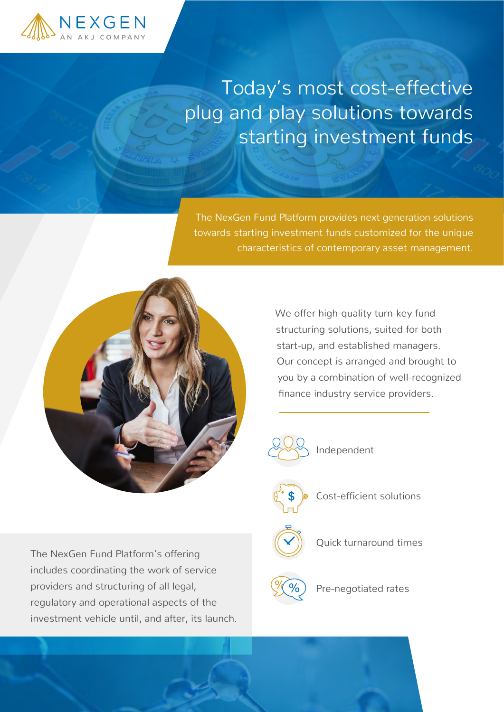

## Today's most cost-effective plug and play solutions towards starting investment funds

The NexGen Fund Platform provides next generation solutions towards starting investment funds customized for the unique characteristics of contemporary asset management.



The NexGen Fund Platform's offering

providers and structuring of all legal,

includes coordinating the work of service

regulatory and operational aspects of the

investment vehicle until, and after, its launch.

We offer high-quality turn-key fund structuring solutions, suited for both start-up, and established managers. Our concept is arranged and brought to you by a combination of well-recognized finance industry service providers.



Independent

Cost-efficient solutions

Quick turnaround times

Pre-negotiated rates